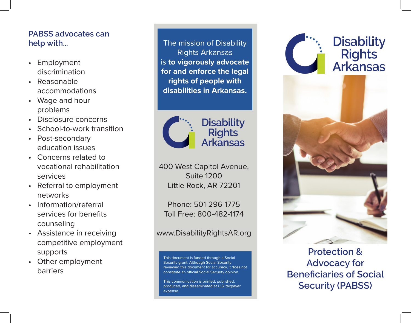## **PABSS advocates can help with...**

- Employment discrimination
- Reasonable accommodations
- Wage and hour problems
- Disclosure concerns
- School-to-work transition
- Post-secondary education issues
- Concerns related to vocational rehabilitation services
- Referral to employment networks
- Information/referral services for benefits counseling
- Assistance in receiving competitive employment supports
- Other employment barriers

The mission of Disability Rights Arkansas is **to vigorously advocate for and enforce the legal rights of people with disabilities in Arkansas.**



400 West Capitol Avenue, Suite 1200 Little Rock, AR 72201

Phone: 501-296-1775 Toll Free: 800-482-1174

## www.DisabilityRightsAR.org

This document is funded through a Social Security grant. Although Social Security reviewed this document for accuracy, it does not constitute an official Social Security opinion.

This communication is printed, published, produced, and disseminated at U.S. taxpayer expense.



**Protection & Advocacy for Beneficiaries of Social Security (PABSS)**